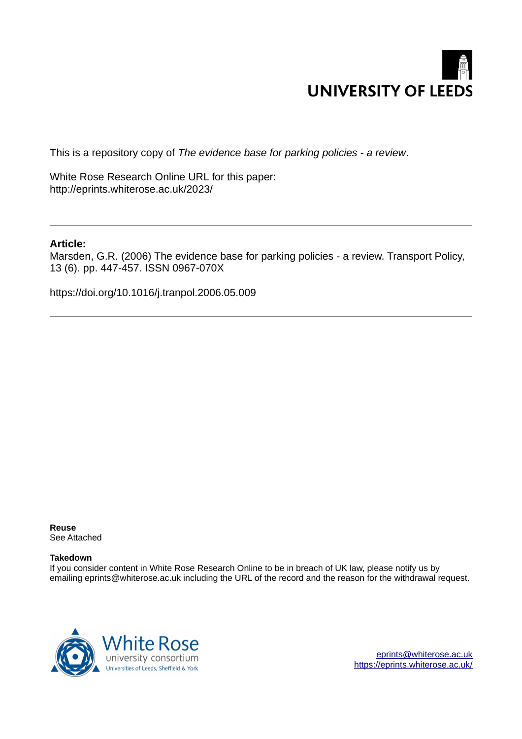

This is a repository copy of *The evidence base for parking policies - a review*.

White Rose Research Online URL for this paper: http://eprints.whiterose.ac.uk/2023/

#### **Article:**

Marsden, G.R. (2006) The evidence base for parking policies - a review. Transport Policy, 13 (6). pp. 447-457. ISSN 0967-070X

https://doi.org/10.1016/j.tranpol.2006.05.009

**Reuse**  See Attached

#### **Takedown**

If you consider content in White Rose Research Online to be in breach of UK law, please notify us by emailing eprints@whiterose.ac.uk including the URL of the record and the reason for the withdrawal request.



[eprints@whiterose.ac.uk](mailto:eprints@whiterose.ac.uk) <https://eprints.whiterose.ac.uk/>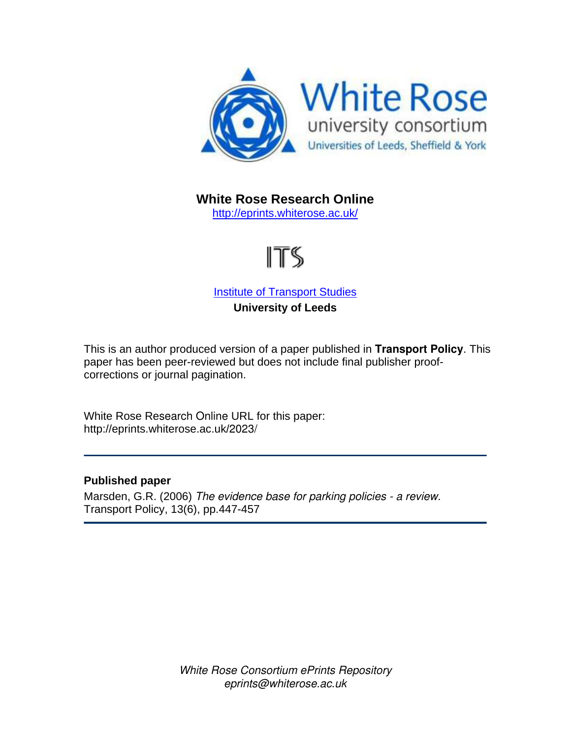

**White Rose Research Online** 

<http://eprints.whiterose.ac.uk/>

# ITS

**[Institute of Transport Studies](http://www.its.leeds.ac.uk/) University of Leeds** 

This is an author produced version of a paper published in **Transport Policy**. This paper has been peer-reviewed but does not include final publisher proofcorrections or journal pagination.

White Rose Research Online URL for this paper: http://eprints.whiterose.ac.uk/2023/

## **Published paper**

Marsden, G.R. (2006) *The evidence base for parking policies - a review.*  Transport Policy, 13(6), pp.447-457

> *White Rose Consortium ePrints Repository eprints@whiterose.ac.uk*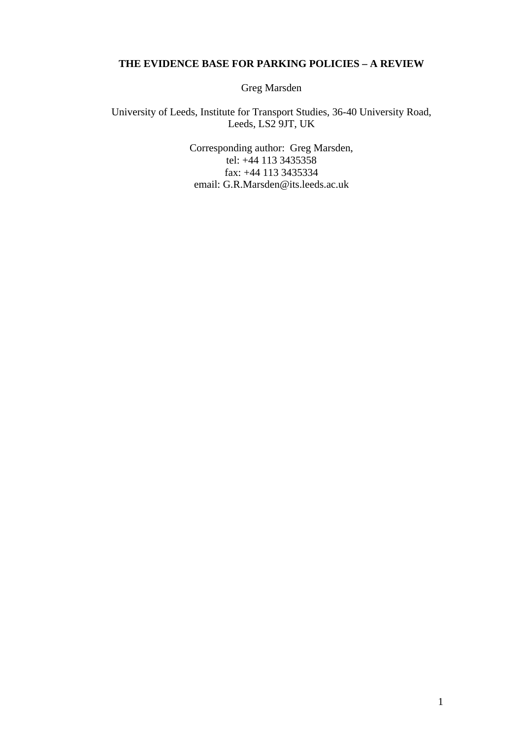# **THE EVIDENCE BASE FOR PARKING POLICIES – A REVIEW**

Greg Marsden

University of Leeds, Institute for Transport Studies, 36-40 University Road, Leeds, LS2 9JT, UK

> Corresponding author: Greg Marsden, tel:  $+44$  113 3435358 fax: +44 113 3435334 email: G.R.Marsden@its.leeds.ac.uk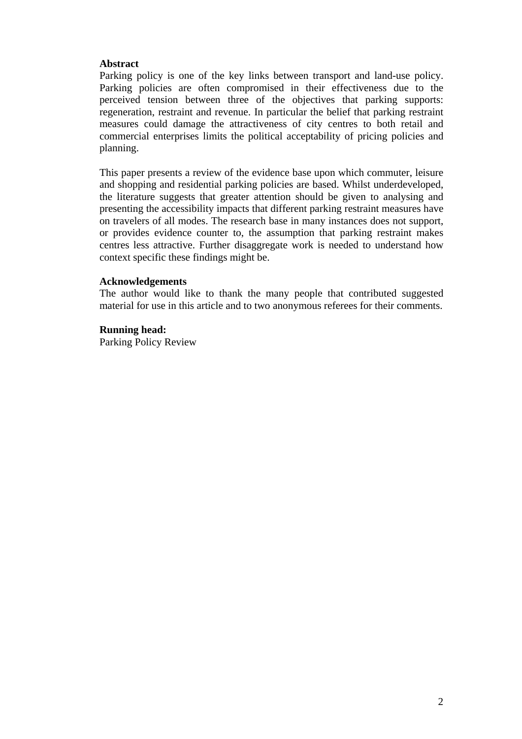## **Abstract**

Parking policy is one of the key links between transport and land-use policy. Parking policies are often compromised in their effectiveness due to the perceived tension between three of the objectives that parking supports: regeneration, restraint and revenue. In particular the belief that parking restraint measures could damage the attractiveness of city centres to both retail and commercial enterprises limits the political acceptability of pricing policies and planning.

This paper presents a review of the evidence base upon which commuter, leisure and shopping and residential parking policies are based. Whilst underdeveloped, the literature suggests that greater attention should be given to analysing and presenting the accessibility impacts that different parking restraint measures have on travelers of all modes. The research base in many instances does not support, or provides evidence counter to, the assumption that parking restraint makes centres less attractive. Further disaggregate work is needed to understand how context specific these findings might be.

#### **Acknowledgements**

The author would like to thank the many people that contributed suggested material for use in this article and to two anonymous referees for their comments.

#### **Running head:**

Parking Policy Review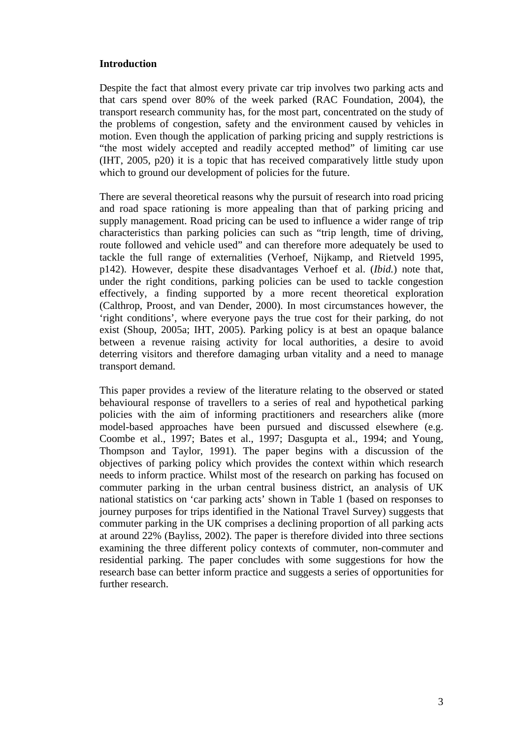## **Introduction**

Despite the fact that almost every private car trip involves two parking acts and that cars spend over 80% of the week parked (RAC Foundation, 2004), the transport research community has, for the most part, concentrated on the study of the problems of congestion, safety and the environment caused by vehicles in motion. Even though the application of parking pricing and supply restrictions is "the most widely accepted and readily accepted method" of limiting car use (IHT, 2005, p20) it is a topic that has received comparatively little study upon which to ground our development of policies for the future.

There are several theoretical reasons why the pursuit of research into road pricing and road space rationing is more appealing than that of parking pricing and supply management. Road pricing can be used to influence a wider range of trip characteristics than parking policies can such as "trip length, time of driving, route followed and vehicle used" and can therefore more adequately be used to tackle the full range of externalities (Verhoef, Nijkamp, and Rietveld 1995, p142). However, despite these disadvantages Verhoef et al. (*Ibid.*) note that, under the right conditions, parking policies can be used to tackle congestion effectively, a finding supported by a more recent theoretical exploration (Calthrop, Proost, and van Dender, 2000). In most circumstances however, the 'right conditions', where everyone pays the true cost for their parking, do not exist (Shoup, 2005a; IHT, 2005). Parking policy is at best an opaque balance between a revenue raising activity for local authorities, a desire to avoid deterring visitors and therefore damaging urban vitality and a need to manage transport demand.

This paper provides a review of the literature relating to the observed or stated behavioural response of travellers to a series of real and hypothetical parking policies with the aim of informing practitioners and researchers alike (more model-based approaches have been pursued and discussed elsewhere (e.g. Coombe et al., 1997; Bates et al., 1997; Dasgupta et al., 1994; and Young, Thompson and Taylor, 1991). The paper begins with a discussion of the objectives of parking policy which provides the context within which research needs to inform practice. Whilst most of the research on parking has focused on commuter parking in the urban central business district, an analysis of UK national statistics on 'car parking acts' shown in Table 1 (based on responses to journey purposes for trips identified in the National Travel Survey) suggests that commuter parking in the UK comprises a declining proportion of all parking acts at around 22% (Bayliss, 2002). The paper is therefore divided into three sections examining the three different policy contexts of commuter, non-commuter and residential parking. The paper concludes with some suggestions for how the research base can better inform practice and suggests a series of opportunities for further research.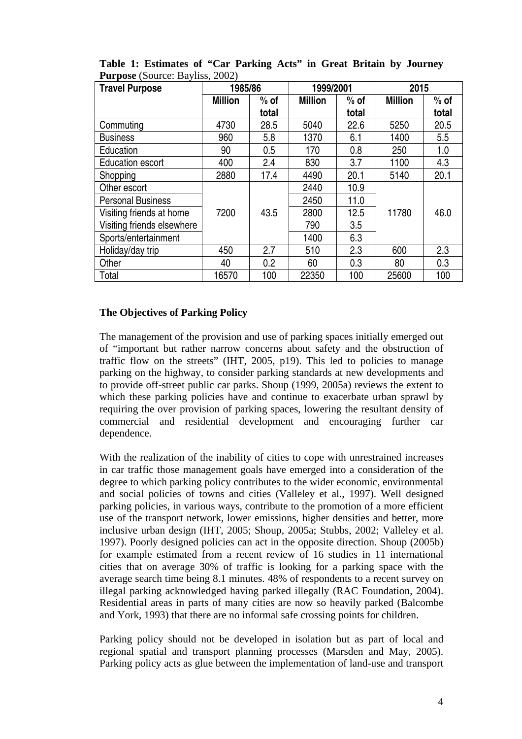| <b>Travel Purpose</b>      | 1985/86        |        | 1999/2001      |        | 2015           |        |
|----------------------------|----------------|--------|----------------|--------|----------------|--------|
|                            | <b>Million</b> | $%$ of | <b>Million</b> | $%$ of | <b>Million</b> | $%$ of |
|                            |                | total  |                | total  |                | total  |
| Commuting                  | 4730           | 28.5   | 5040           | 22.6   | 5250           | 20.5   |
| <b>Business</b>            | 960            | 5.8    | 1370           | 6.1    | 1400           | 5.5    |
| Education                  | 90             | 0.5    | 170            | 0.8    | 250            | 1.0    |
| <b>Education escort</b>    | 400            | 2.4    | 830            | 3.7    | 1100           | 4.3    |
| Shopping                   | 2880           | 17.4   | 4490           | 20.1   | 5140           | 20.1   |
| Other escort               |                |        | 2440           | 10.9   |                |        |
| <b>Personal Business</b>   |                |        | 2450           | 11.0   |                |        |
| Visiting friends at home   | 7200           | 43.5   | 2800           | 12.5   | 11780          | 46.0   |
| Visiting friends elsewhere |                |        | 790            | 3.5    |                |        |
| Sports/entertainment       |                |        | 1400           | 6.3    |                |        |
| Holiday/day trip           | 450            | 2.7    | 510            | 2.3    | 600            | 2.3    |
| Other                      | 40             | 0.2    | 60             | 0.3    | 80             | 0.3    |
| Total                      | 16570          | 100    | 22350          | 100    | 25600          | 100    |

**Table 1: Estimates of "Car Parking Acts" in Great Britain by Journey Purpose** (Source: Bayliss, 2002)

### **The Objectives of Parking Policy**

The management of the provision and use of parking spaces initially emerged out of "important but rather narrow concerns about safety and the obstruction of traffic flow on the streets" (IHT, 2005, p19). This led to policies to manage parking on the highway, to consider parking standards at new developments and to provide off-street public car parks. Shoup (1999, 2005a) reviews the extent to which these parking policies have and continue to exacerbate urban sprawl by requiring the over provision of parking spaces, lowering the resultant density of commercial and residential development and encouraging further car dependence.

With the realization of the inability of cities to cope with unrestrained increases in car traffic those management goals have emerged into a consideration of the degree to which parking policy contributes to the wider economic, environmental and social policies of towns and cities (Valleley et al., 1997). Well designed parking policies, in various ways, contribute to the promotion of a more efficient use of the transport network, lower emissions, higher densities and better, more inclusive urban design (IHT, 2005; Shoup, 2005a; Stubbs, 2002; Valleley et al. 1997). Poorly designed policies can act in the opposite direction. Shoup (2005b) for example estimated from a recent review of 16 studies in 11 international cities that on average 30% of traffic is looking for a parking space with the average search time being 8.1 minutes. 48% of respondents to a recent survey on illegal parking acknowledged having parked illegally (RAC Foundation, 2004). Residential areas in parts of many cities are now so heavily parked (Balcombe and York, 1993) that there are no informal safe crossing points for children.

<span id="page-5-0"></span>Parking policy should not be developed in isolation but as part of local and regional spatial and transport planning processes (Marsden and May, 2005). Parking policy acts as glue between the implementation of land-use and transport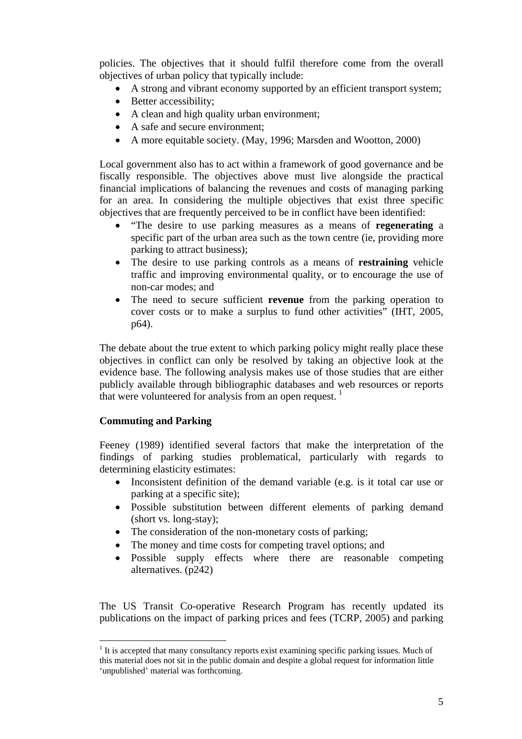policies. The objectives that it should fulfil therefore come from the overall objectives of urban policy that typically include:

- A strong and vibrant economy supported by an efficient transport system;
- Better accessibility;
- A clean and high quality urban environment;
- A safe and secure environment:
- A more equitable society. (May, 1996; Marsden and Wootton, 2000)

Local government also has to act within a framework of good governance and be fiscally responsible. The objectives above must live alongside the practical financial implications of balancing the revenues and costs of managing parking for an area. In considering the multiple objectives that exist three specific objectives that are frequently perceived to be in conflict have been identified:

- "The desire to use parking measures as a means of **regenerating** a specific part of the urban area such as the town centre (ie, providing more parking to attract business);
- The desire to use parking controls as a means of **restraining** vehicle traffic and improving environmental quality, or to encourage the use of non-car modes; and
- The need to secure sufficient **revenue** from the parking operation to cover costs or to make a surplus to fund other activities" (IHT, 2005, p64).

The debate about the true extent to which parking policy might really place these objectives in conflict can only be resolved by taking an objective look at the evidence base. The following analysis makes use of those studies that are either publicly available through bibliographic databases and web resources or reports that were volunteered for analysis from an open request.  $<sup>1</sup>$  $<sup>1</sup>$  $<sup>1</sup>$ </sup>

#### **Commuting and Parking**

 $\overline{a}$ 

Feeney (1989) identified several factors that make the interpretation of the findings of parking studies problematical, particularly with regards to determining elasticity estimates:

- Inconsistent definition of the demand variable (e.g. is it total car use or parking at a specific site);
- Possible substitution between different elements of parking demand (short vs. long-stay);
- The consideration of the non-monetary costs of parking;
- The money and time costs for competing travel options; and
- Possible supply effects where there are reasonable competing alternatives. (p242)

The US Transit Co-operative Research Program has recently updated its publications on the impact of parking prices and fees (TCRP, 2005) and parking

<span id="page-6-0"></span><sup>&</sup>lt;sup>1</sup> It is accepted that many consultancy reports exist examining specific parking issues. Much of this material does not sit in the public domain and despite a global request for information little 'unpublished' material was forthcoming.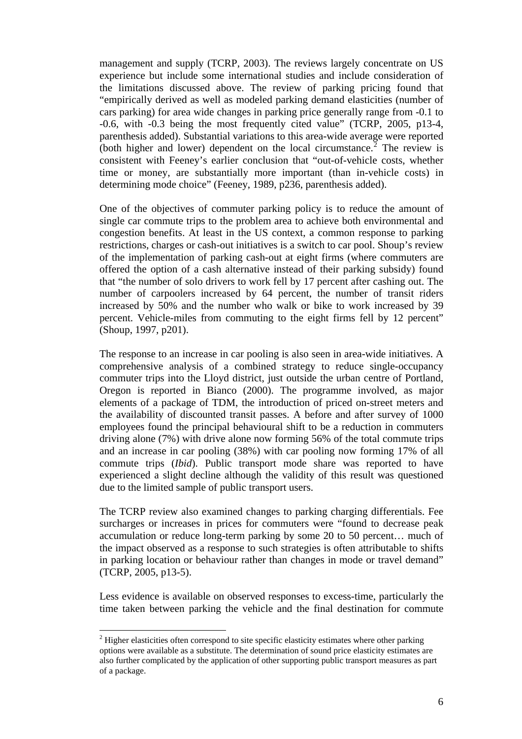management and supply (TCRP, 2003). The reviews largely concentrate on US experience but include some international studies and include consideration of the limitations discussed above. The review of parking pricing found that "empirically derived as well as modeled parking demand elasticities (number of cars parking) for area wide changes in parking price generally range from -0.1 to -0.6, with -0.3 being the most frequently cited value" (TCRP, 2005, p13-4, parenthesis added). Substantial variations to this area-wide average were reported (both higher and lower) dependent on the local circumstance.<sup>[2](#page-6-0)</sup> The review is consistent with Feeney's earlier conclusion that "out-of-vehicle costs, whether time or money, are substantially more important (than in-vehicle costs) in determining mode choice" (Feeney, 1989, p236, parenthesis added).

One of the objectives of commuter parking policy is to reduce the amount of single car commute trips to the problem area to achieve both environmental and congestion benefits. At least in the US context, a common response to parking restrictions, charges or cash-out initiatives is a switch to car pool. Shoup's review of the implementation of parking cash-out at eight firms (where commuters are offered the option of a cash alternative instead of their parking subsidy) found that "the number of solo drivers to work fell by 17 percent after cashing out. The number of carpoolers increased by 64 percent, the number of transit riders increased by 50% and the number who walk or bike to work increased by 39 percent. Vehicle-miles from commuting to the eight firms fell by 12 percent" (Shoup, 1997, p201).

The response to an increase in car pooling is also seen in area-wide initiatives. A comprehensive analysis of a combined strategy to reduce single-occupancy commuter trips into the Lloyd district, just outside the urban centre of Portland, Oregon is reported in Bianco (2000). The programme involved, as major elements of a package of TDM, the introduction of priced on-street meters and the availability of discounted transit passes. A before and after survey of 1000 employees found the principal behavioural shift to be a reduction in commuters driving alone (7%) with drive alone now forming 56% of the total commute trips and an increase in car pooling (38%) with car pooling now forming 17% of all commute trips (*Ibid*). Public transport mode share was reported to have experienced a slight decline although the validity of this result was questioned due to the limited sample of public transport users.

The TCRP review also examined changes to parking charging differentials. Fee surcharges or increases in prices for commuters were "found to decrease peak accumulation or reduce long-term parking by some 20 to 50 percent… much of the impact observed as a response to such strategies is often attributable to shifts in parking location or behaviour rather than changes in mode or travel demand" (TCRP, 2005, p13-5).

Less evidence is available on observed responses to excess-time, particularly the time taken between parking the vehicle and the final destination for commute

 $\overline{a}$ 

 $2$  Higher elasticities often correspond to site specific elasticity estimates where other parking options were available as a substitute. The determination of sound price elasticity estimates are also further complicated by the application of other supporting public transport measures as part of a package.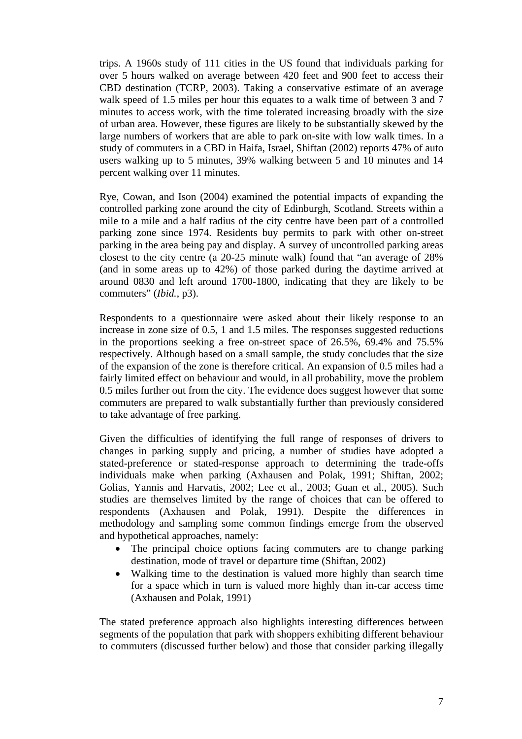trips. A 1960s study of 111 cities in the US found that individuals parking for over 5 hours walked on average between 420 feet and 900 feet to access their CBD destination (TCRP, 2003). Taking a conservative estimate of an average walk speed of 1.5 miles per hour this equates to a walk time of between 3 and 7 minutes to access work, with the time tolerated increasing broadly with the size of urban area. However, these figures are likely to be substantially skewed by the large numbers of workers that are able to park on-site with low walk times. In a study of commuters in a CBD in Haifa, Israel, Shiftan (2002) reports 47% of auto users walking up to 5 minutes, 39% walking between 5 and 10 minutes and 14 percent walking over 11 minutes.

Rye, Cowan, and Ison (2004) examined the potential impacts of expanding the controlled parking zone around the city of Edinburgh, Scotland. Streets within a mile to a mile and a half radius of the city centre have been part of a controlled parking zone since 1974. Residents buy permits to park with other on-street parking in the area being pay and display. A survey of uncontrolled parking areas closest to the city centre (a 20-25 minute walk) found that "an average of 28% (and in some areas up to 42%) of those parked during the daytime arrived at around 0830 and left around 1700-1800, indicating that they are likely to be commuters" (*Ibid.*, p3).

Respondents to a questionnaire were asked about their likely response to an increase in zone size of 0.5, 1 and 1.5 miles. The responses suggested reductions in the proportions seeking a free on-street space of 26.5%, 69.4% and 75.5% respectively. Although based on a small sample, the study concludes that the size of the expansion of the zone is therefore critical. An expansion of 0.5 miles had a fairly limited effect on behaviour and would, in all probability, move the problem 0.5 miles further out from the city. The evidence does suggest however that some commuters are prepared to walk substantially further than previously considered to take advantage of free parking.

Given the difficulties of identifying the full range of responses of drivers to changes in parking supply and pricing, a number of studies have adopted a stated-preference or stated-response approach to determining the trade-offs individuals make when parking (Axhausen and Polak, 1991; Shiftan, 2002; Golias, Yannis and Harvatis, 2002; Lee et al., 2003; Guan et al., 2005). Such studies are themselves limited by the range of choices that can be offered to respondents (Axhausen and Polak, 1991). Despite the differences in methodology and sampling some common findings emerge from the observed and hypothetical approaches, namely:

- The principal choice options facing commuters are to change parking destination, mode of travel or departure time (Shiftan, 2002)
- Walking time to the destination is valued more highly than search time for a space which in turn is valued more highly than in-car access time (Axhausen and Polak, 1991)

The stated preference approach also highlights interesting differences between segments of the population that park with shoppers exhibiting different behaviour to commuters (discussed further below) and those that consider parking illegally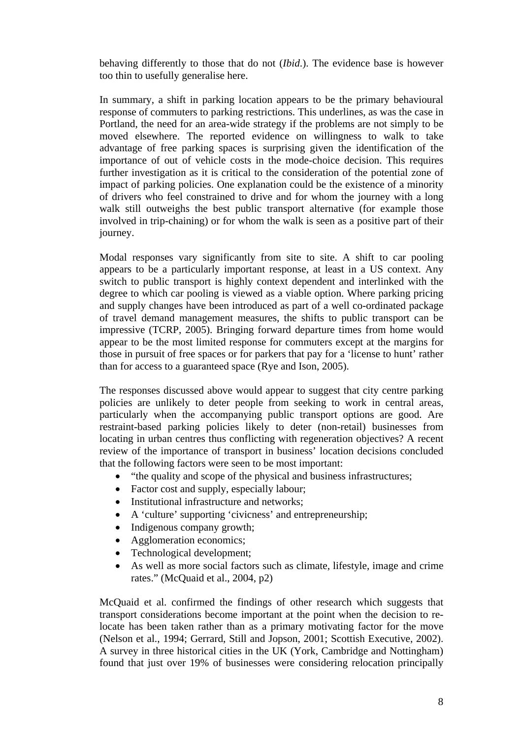behaving differently to those that do not (*Ibid*.). The evidence base is however too thin to usefully generalise here.

In summary, a shift in parking location appears to be the primary behavioural response of commuters to parking restrictions. This underlines, as was the case in Portland, the need for an area-wide strategy if the problems are not simply to be moved elsewhere. The reported evidence on willingness to walk to take advantage of free parking spaces is surprising given the identification of the importance of out of vehicle costs in the mode-choice decision. This requires further investigation as it is critical to the consideration of the potential zone of impact of parking policies. One explanation could be the existence of a minority of drivers who feel constrained to drive and for whom the journey with a long walk still outweighs the best public transport alternative (for example those involved in trip-chaining) or for whom the walk is seen as a positive part of their journey.

Modal responses vary significantly from site to site. A shift to car pooling appears to be a particularly important response, at least in a US context. Any switch to public transport is highly context dependent and interlinked with the degree to which car pooling is viewed as a viable option. Where parking pricing and supply changes have been introduced as part of a well co-ordinated package of travel demand management measures, the shifts to public transport can be impressive (TCRP, 2005). Bringing forward departure times from home would appear to be the most limited response for commuters except at the margins for those in pursuit of free spaces or for parkers that pay for a 'license to hunt' rather than for access to a guaranteed space (Rye and Ison, 2005).

The responses discussed above would appear to suggest that city centre parking policies are unlikely to deter people from seeking to work in central areas, particularly when the accompanying public transport options are good. Are restraint-based parking policies likely to deter (non-retail) businesses from locating in urban centres thus conflicting with regeneration objectives? A recent review of the importance of transport in business' location decisions concluded that the following factors were seen to be most important:

- "the quality and scope of the physical and business infrastructures;
- Factor cost and supply, especially labour;
- Institutional infrastructure and networks;
- A 'culture' supporting 'civicness' and entrepreneurship;
- Indigenous company growth;
- Agglomeration economics;
- Technological development;
- As well as more social factors such as climate, lifestyle, image and crime rates." (McQuaid et al., 2004, p2)

McQuaid et al. confirmed the findings of other research which suggests that transport considerations become important at the point when the decision to relocate has been taken rather than as a primary motivating factor for the move (Nelson et al., 1994; Gerrard, Still and Jopson, 2001; Scottish Executive, 2002). A survey in three historical cities in the UK (York, Cambridge and Nottingham) found that just over 19% of businesses were considering relocation principally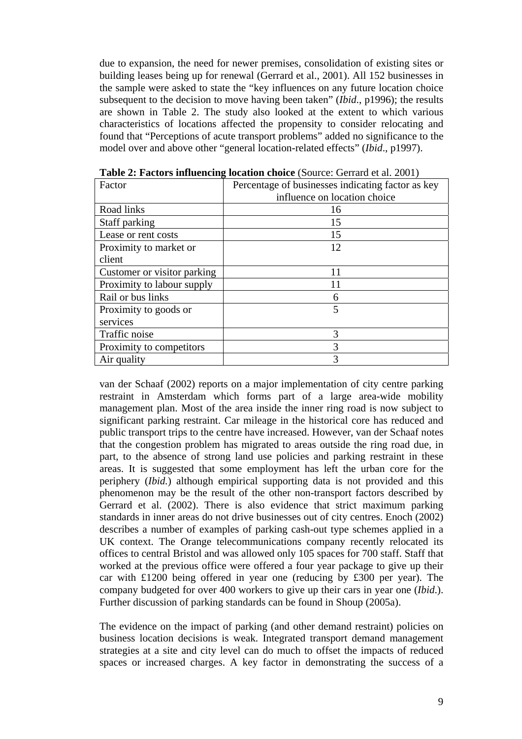due to expansion, the need for newer premises, consolidation of existing sites or building leases being up for renewal (Gerrard et al., 2001). All 152 businesses in the sample were asked to state the "key influences on any future location choice subsequent to the decision to move having been taken" (*Ibid*., p1996); the results are shown in Table 2. The study also looked at the extent to which various characteristics of locations affected the propensity to consider relocating and found that "Perceptions of acute transport problems" added no significance to the model over and above other "general location-related effects" (*Ibid*., p1997).

| Factor                      | Percentage of businesses indicating factor as key |  |  |
|-----------------------------|---------------------------------------------------|--|--|
|                             | influence on location choice                      |  |  |
| Road links                  | 16                                                |  |  |
| Staff parking               | 15                                                |  |  |
| Lease or rent costs         | 15                                                |  |  |
| Proximity to market or      | 12                                                |  |  |
| client                      |                                                   |  |  |
| Customer or visitor parking |                                                   |  |  |
| Proximity to labour supply  |                                                   |  |  |
| Rail or bus links           | 6                                                 |  |  |
| Proximity to goods or       | 5                                                 |  |  |
| services                    |                                                   |  |  |
| Traffic noise               | 3                                                 |  |  |
| Proximity to competitors    | 3                                                 |  |  |
| Air quality                 | $\mathcal{R}$                                     |  |  |

**Table 2: Factors influencing location choice** *(Source: Gerrard et al. 2001)* 

van der Schaaf (2002) reports on a major implementation of city centre parking restraint in Amsterdam which forms part of a large area-wide mobility management plan. Most of the area inside the inner ring road is now subject to significant parking restraint. Car mileage in the historical core has reduced and public transport trips to the centre have increased. However, van der Schaaf notes that the congestion problem has migrated to areas outside the ring road due, in part, to the absence of strong land use policies and parking restraint in these areas. It is suggested that some employment has left the urban core for the periphery (*Ibid.*) although empirical supporting data is not provided and this phenomenon may be the result of the other non-transport factors described by Gerrard et al. (2002). There is also evidence that strict maximum parking standards in inner areas do not drive businesses out of city centres. Enoch (2002) describes a number of examples of parking cash-out type schemes applied in a UK context. The Orange telecommunications company recently relocated its offices to central Bristol and was allowed only 105 spaces for 700 staff. Staff that worked at the previous office were offered a four year package to give up their car with £1200 being offered in year one (reducing by £300 per year). The company budgeted for over 400 workers to give up their cars in year one (*Ibid*.). Further discussion of parking standards can be found in Shoup (2005a).

The evidence on the impact of parking (and other demand restraint) policies on business location decisions is weak. Integrated transport demand management strategies at a site and city level can do much to offset the impacts of reduced spaces or increased charges. A key factor in demonstrating the success of a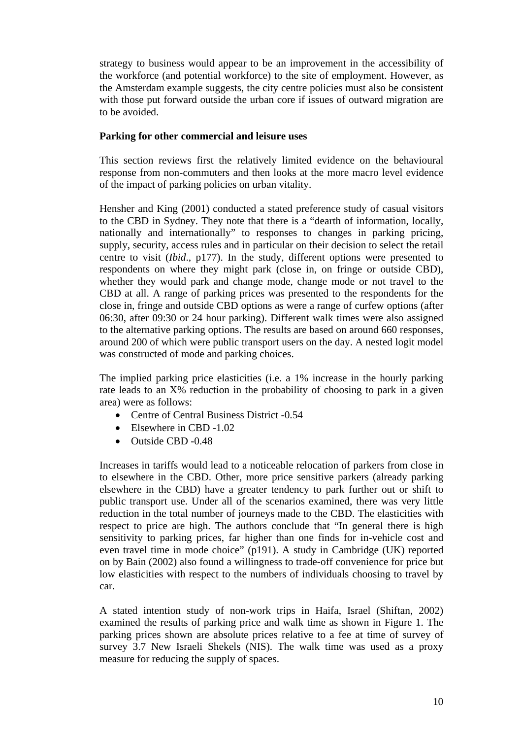strategy to business would appear to be an improvement in the accessibility of the workforce (and potential workforce) to the site of employment. However, as the Amsterdam example suggests, the city centre policies must also be consistent with those put forward outside the urban core if issues of outward migration are to be avoided.

## **Parking for other commercial and leisure uses**

This section reviews first the relatively limited evidence on the behavioural response from non-commuters and then looks at the more macro level evidence of the impact of parking policies on urban vitality.

Hensher and King (2001) conducted a stated preference study of casual visitors to the CBD in Sydney. They note that there is a "dearth of information, locally, nationally and internationally" to responses to changes in parking pricing, supply, security, access rules and in particular on their decision to select the retail centre to visit (*Ibid*., p177). In the study, different options were presented to respondents on where they might park (close in, on fringe or outside CBD), whether they would park and change mode, change mode or not travel to the CBD at all. A range of parking prices was presented to the respondents for the close in, fringe and outside CBD options as were a range of curfew options (after 06:30, after 09:30 or 24 hour parking). Different walk times were also assigned to the alternative parking options. The results are based on around 660 responses, around 200 of which were public transport users on the day. A nested logit model was constructed of mode and parking choices.

The implied parking price elasticities (i.e. a 1% increase in the hourly parking rate leads to an X% reduction in the probability of choosing to park in a given area) were as follows:

- Centre of Central Business District -0.54
- Elsewhere in CBD -1.02
- Outside CBD -0.48

Increases in tariffs would lead to a noticeable relocation of parkers from close in to elsewhere in the CBD. Other, more price sensitive parkers (already parking elsewhere in the CBD) have a greater tendency to park further out or shift to public transport use. Under all of the scenarios examined, there was very little reduction in the total number of journeys made to the CBD. The elasticities with respect to price are high. The authors conclude that "In general there is high sensitivity to parking prices, far higher than one finds for in-vehicle cost and even travel time in mode choice" (p191). A study in Cambridge (UK) reported on by Bain (2002) also found a willingness to trade-off convenience for price but low elasticities with respect to the numbers of individuals choosing to travel by car.

A stated intention study of non-work trips in Haifa, Israel (Shiftan, 2002) examined the results of parking price and walk time as shown in Figure 1. The parking prices shown are absolute prices relative to a fee at time of survey of survey 3.7 New Israeli Shekels (NIS). The walk time was used as a proxy measure for reducing the supply of spaces.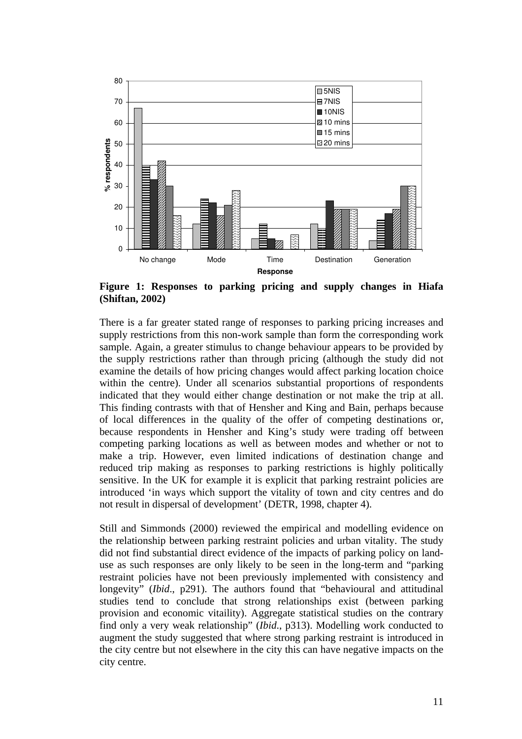

**Figure 1: Responses to parking pricing and supply changes in Hiafa (Shiftan, 2002)** 

There is a far greater stated range of responses to parking pricing increases and supply restrictions from this non-work sample than form the corresponding work sample. Again, a greater stimulus to change behaviour appears to be provided by the supply restrictions rather than through pricing (although the study did not examine the details of how pricing changes would affect parking location choice within the centre). Under all scenarios substantial proportions of respondents indicated that they would either change destination or not make the trip at all. This finding contrasts with that of Hensher and King and Bain, perhaps because of local differences in the quality of the offer of competing destinations or, because respondents in Hensher and King's study were trading off between competing parking locations as well as between modes and whether or not to make a trip. However, even limited indications of destination change and reduced trip making as responses to parking restrictions is highly politically sensitive. In the UK for example it is explicit that parking restraint policies are introduced 'in ways which support the vitality of town and city centres and do not result in dispersal of development' (DETR, 1998, chapter 4).

Still and Simmonds (2000) reviewed the empirical and modelling evidence on the relationship between parking restraint policies and urban vitality. The study did not find substantial direct evidence of the impacts of parking policy on landuse as such responses are only likely to be seen in the long-term and "parking restraint policies have not been previously implemented with consistency and longevity" (*Ibid*., p291). The authors found that "behavioural and attitudinal studies tend to conclude that strong relationships exist (between parking provision and economic vitaility). Aggregate statistical studies on the contrary find only a very weak relationship" (*Ibid*., p313). Modelling work conducted to augment the study suggested that where strong parking restraint is introduced in the city centre but not elsewhere in the city this can have negative impacts on the city centre.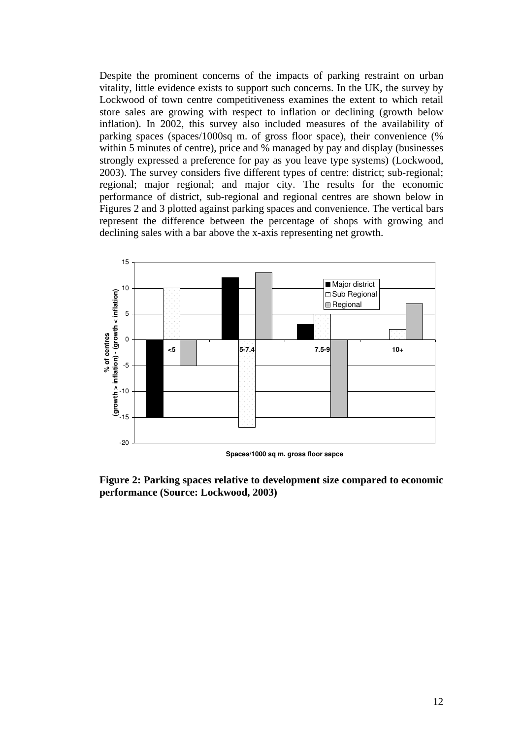Despite the prominent concerns of the impacts of parking restraint on urban vitality, little evidence exists to support such concerns. In the UK, the survey by Lockwood of town centre competitiveness examines the extent to which retail store sales are growing with respect to inflation or declining (growth below inflation). In 2002, this survey also included measures of the availability of parking spaces (spaces/1000sq m. of gross floor space), their convenience (% within 5 minutes of centre), price and % managed by pay and display (businesses strongly expressed a preference for pay as you leave type systems) (Lockwood, 2003). The survey considers five different types of centre: district; sub-regional; regional; major regional; and major city. The results for the economic performance of district, sub-regional and regional centres are shown below in Figures 2 and 3 plotted against parking spaces and convenience. The vertical bars represent the difference between the percentage of shops with growing and declining sales with a bar above the x-axis representing net growth.



**Figure 2: Parking spaces relative to development size compared to economic performance (Source: Lockwood, 2003)**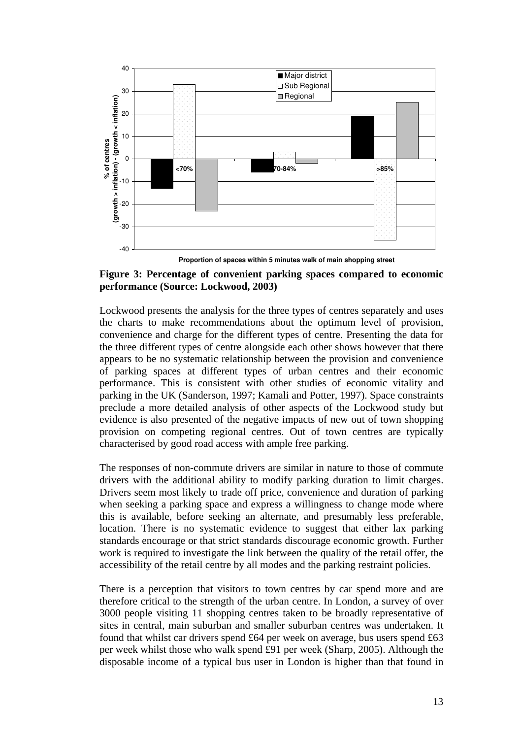

**Figure 3: Percentage of convenient parking spaces compared to economic performance (Source: Lockwood, 2003)** 

Lockwood presents the analysis for the three types of centres separately and uses the charts to make recommendations about the optimum level of provision, convenience and charge for the different types of centre. Presenting the data for the three different types of centre alongside each other shows however that there appears to be no systematic relationship between the provision and convenience of parking spaces at different types of urban centres and their economic performance. This is consistent with other studies of economic vitality and parking in the UK (Sanderson, 1997; Kamali and Potter, 1997). Space constraints preclude a more detailed analysis of other aspects of the Lockwood study but evidence is also presented of the negative impacts of new out of town shopping provision on competing regional centres. Out of town centres are typically characterised by good road access with ample free parking.

The responses of non-commute drivers are similar in nature to those of commute drivers with the additional ability to modify parking duration to limit charges. Drivers seem most likely to trade off price, convenience and duration of parking when seeking a parking space and express a willingness to change mode where this is available, before seeking an alternate, and presumably less preferable, location. There is no systematic evidence to suggest that either lax parking standards encourage or that strict standards discourage economic growth. Further work is required to investigate the link between the quality of the retail offer, the accessibility of the retail centre by all modes and the parking restraint policies.

There is a perception that visitors to town centres by car spend more and are therefore critical to the strength of the urban centre. In London, a survey of over 3000 people visiting 11 shopping centres taken to be broadly representative of sites in central, main suburban and smaller suburban centres was undertaken. It found that whilst car drivers spend £64 per week on average, bus users spend £63 per week whilst those who walk spend £91 per week (Sharp, 2005). Although the disposable income of a typical bus user in London is higher than that found in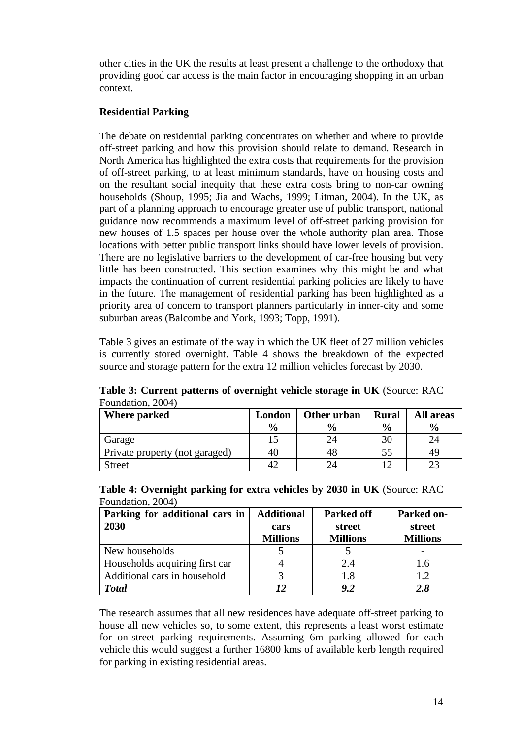other cities in the UK the results at least present a challenge to the orthodoxy that providing good car access is the main factor in encouraging shopping in an urban context.

## **Residential Parking**

The debate on residential parking concentrates on whether and where to provide off-street parking and how this provision should relate to demand. Research in North America has highlighted the extra costs that requirements for the provision of off-street parking, to at least minimum standards, have on housing costs and on the resultant social inequity that these extra costs bring to non-car owning households (Shoup, 1995; Jia and Wachs, 1999; Litman, 2004). In the UK, as part of a planning approach to encourage greater use of public transport, national guidance now recommends a maximum level of off-street parking provision for new houses of 1.5 spaces per house over the whole authority plan area. Those locations with better public transport links should have lower levels of provision. There are no legislative barriers to the development of car-free housing but very little has been constructed. This section examines why this might be and what impacts the continuation of current residential parking policies are likely to have in the future. The management of residential parking has been highlighted as a priority area of concern to transport planners particularly in inner-city and some suburban areas (Balcombe and York, 1993; Topp, 1991).

Table 3 gives an estimate of the way in which the UK fleet of 27 million vehicles is currently stored overnight. Table 4 shows the breakdown of the expected source and storage pattern for the extra 12 million vehicles forecast by 2030.

| <b>Where parked</b>            | London        | Other urban   | <b>Rural</b>  | All areas     |
|--------------------------------|---------------|---------------|---------------|---------------|
|                                | $\frac{6}{9}$ | $\frac{0}{0}$ | $\frac{0}{0}$ | $\frac{6}{9}$ |
| Garage                         |               |               |               |               |
| Private property (not garaged) | 40            | 48            |               | 49            |
| <b>Street</b>                  |               |               |               |               |

**Table 3: Current patterns of overnight vehicle storage in UK** (Source: RAC Foundation, 2004)

| Table 4: Overnight parking for extra vehicles by 2030 in UK (Source: RAC |  |  |  |
|--------------------------------------------------------------------------|--|--|--|
| Foundation, 2004)                                                        |  |  |  |

| Parking for additional cars in | <b>Additional</b> | <b>Parked off</b> | Parked on-      |
|--------------------------------|-------------------|-------------------|-----------------|
| 2030                           | cars              | street            | street          |
|                                | <b>Millions</b>   | <b>Millions</b>   | <b>Millions</b> |
| New households                 |                   |                   |                 |
| Households acquiring first car |                   | 2.4               | 1.6             |
| Additional cars in household   |                   | 1.8               | 1.2             |
| <b>Total</b>                   |                   | 9.2               | 2.8             |

The research assumes that all new residences have adequate off-street parking to house all new vehicles so, to some extent, this represents a least worst estimate for on-street parking requirements. Assuming 6m parking allowed for each vehicle this would suggest a further 16800 kms of available kerb length required for parking in existing residential areas.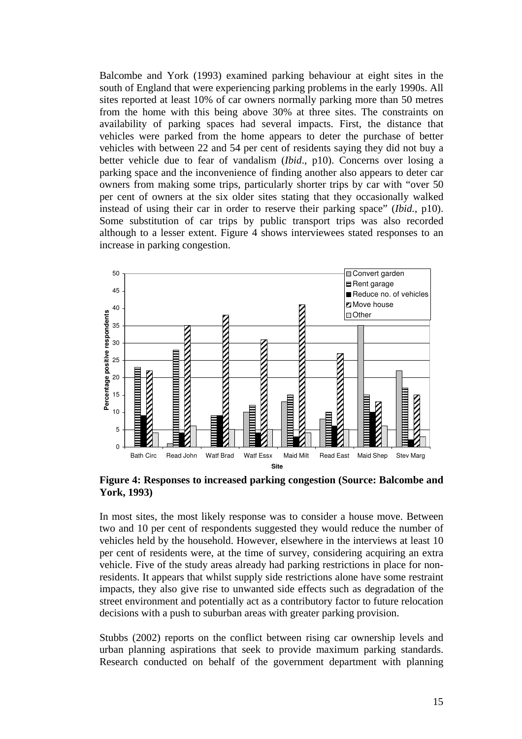Balcombe and York (1993) examined parking behaviour at eight sites in the south of England that were experiencing parking problems in the early 1990s. All sites reported at least 10% of car owners normally parking more than 50 metres from the home with this being above 30% at three sites. The constraints on availability of parking spaces had several impacts. First, the distance that vehicles were parked from the home appears to deter the purchase of better vehicles with between 22 and 54 per cent of residents saying they did not buy a better vehicle due to fear of vandalism (*Ibid*., p10). Concerns over losing a parking space and the inconvenience of finding another also appears to deter car owners from making some trips, particularly shorter trips by car with "over 50 per cent of owners at the six older sites stating that they occasionally walked instead of using their car in order to reserve their parking space" (*Ibid.*, p10). Some substitution of car trips by public transport trips was also recorded although to a lesser extent. Figure 4 shows interviewees stated responses to an increase in parking congestion.



**Figure 4: Responses to increased parking congestion (Source: Balcombe and York, 1993)** 

In most sites, the most likely response was to consider a house move. Between two and 10 per cent of respondents suggested they would reduce the number of vehicles held by the household. However, elsewhere in the interviews at least 10 per cent of residents were, at the time of survey, considering acquiring an extra vehicle. Five of the study areas already had parking restrictions in place for nonresidents. It appears that whilst supply side restrictions alone have some restraint impacts, they also give rise to unwanted side effects such as degradation of the street environment and potentially act as a contributory factor to future relocation decisions with a push to suburban areas with greater parking provision.

Stubbs (2002) reports on the conflict between rising car ownership levels and urban planning aspirations that seek to provide maximum parking standards. Research conducted on behalf of the government department with planning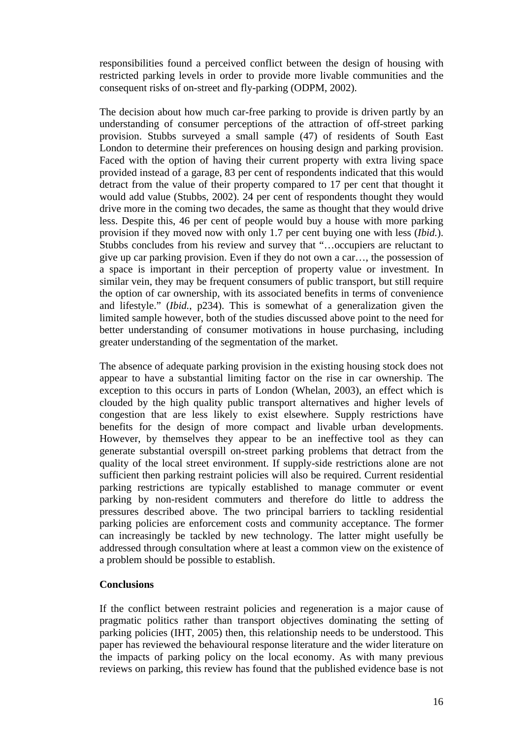responsibilities found a perceived conflict between the design of housing with restricted parking levels in order to provide more livable communities and the consequent risks of on-street and fly-parking (ODPM, 2002).

The decision about how much car-free parking to provide is driven partly by an understanding of consumer perceptions of the attraction of off-street parking provision. Stubbs surveyed a small sample (47) of residents of South East London to determine their preferences on housing design and parking provision. Faced with the option of having their current property with extra living space provided instead of a garage, 83 per cent of respondents indicated that this would detract from the value of their property compared to 17 per cent that thought it would add value (Stubbs, 2002). 24 per cent of respondents thought they would drive more in the coming two decades, the same as thought that they would drive less. Despite this, 46 per cent of people would buy a house with more parking provision if they moved now with only 1.7 per cent buying one with less (*Ibid.*). Stubbs concludes from his review and survey that "…occupiers are reluctant to give up car parking provision. Even if they do not own a car…, the possession of a space is important in their perception of property value or investment. In similar vein, they may be frequent consumers of public transport, but still require the option of car ownership, with its associated benefits in terms of convenience and lifestyle." (*Ibid.*, p234). This is somewhat of a generalization given the limited sample however, both of the studies discussed above point to the need for better understanding of consumer motivations in house purchasing, including greater understanding of the segmentation of the market.

The absence of adequate parking provision in the existing housing stock does not appear to have a substantial limiting factor on the rise in car ownership. The exception to this occurs in parts of London (Whelan, 2003), an effect which is clouded by the high quality public transport alternatives and higher levels of congestion that are less likely to exist elsewhere. Supply restrictions have benefits for the design of more compact and livable urban developments. However, by themselves they appear to be an ineffective tool as they can generate substantial overspill on-street parking problems that detract from the quality of the local street environment. If supply-side restrictions alone are not sufficient then parking restraint policies will also be required. Current residential parking restrictions are typically established to manage commuter or event parking by non-resident commuters and therefore do little to address the pressures described above. The two principal barriers to tackling residential parking policies are enforcement costs and community acceptance. The former can increasingly be tackled by new technology. The latter might usefully be addressed through consultation where at least a common view on the existence of a problem should be possible to establish.

## **Conclusions**

If the conflict between restraint policies and regeneration is a major cause of pragmatic politics rather than transport objectives dominating the setting of parking policies (IHT, 2005) then, this relationship needs to be understood. This paper has reviewed the behavioural response literature and the wider literature on the impacts of parking policy on the local economy. As with many previous reviews on parking, this review has found that the published evidence base is not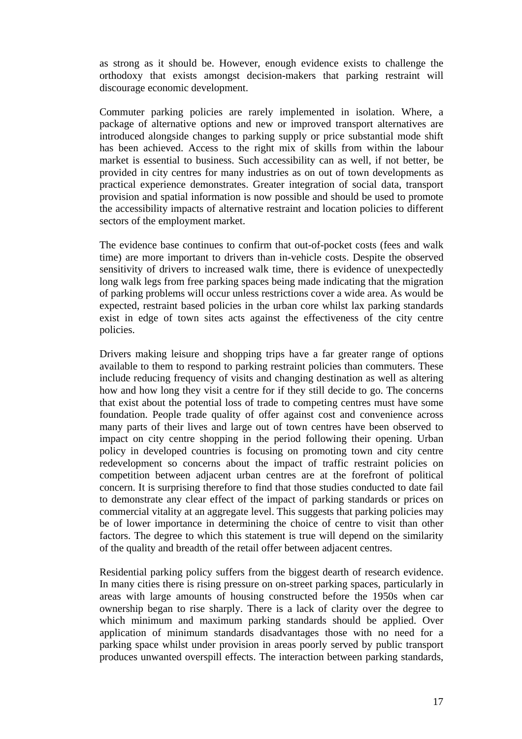as strong as it should be. However, enough evidence exists to challenge the orthodoxy that exists amongst decision-makers that parking restraint will discourage economic development.

Commuter parking policies are rarely implemented in isolation. Where, a package of alternative options and new or improved transport alternatives are introduced alongside changes to parking supply or price substantial mode shift has been achieved. Access to the right mix of skills from within the labour market is essential to business. Such accessibility can as well, if not better, be provided in city centres for many industries as on out of town developments as practical experience demonstrates. Greater integration of social data, transport provision and spatial information is now possible and should be used to promote the accessibility impacts of alternative restraint and location policies to different sectors of the employment market.

The evidence base continues to confirm that out-of-pocket costs (fees and walk time) are more important to drivers than in-vehicle costs. Despite the observed sensitivity of drivers to increased walk time, there is evidence of unexpectedly long walk legs from free parking spaces being made indicating that the migration of parking problems will occur unless restrictions cover a wide area. As would be expected, restraint based policies in the urban core whilst lax parking standards exist in edge of town sites acts against the effectiveness of the city centre policies.

Drivers making leisure and shopping trips have a far greater range of options available to them to respond to parking restraint policies than commuters. These include reducing frequency of visits and changing destination as well as altering how and how long they visit a centre for if they still decide to go. The concerns that exist about the potential loss of trade to competing centres must have some foundation. People trade quality of offer against cost and convenience across many parts of their lives and large out of town centres have been observed to impact on city centre shopping in the period following their opening. Urban policy in developed countries is focusing on promoting town and city centre redevelopment so concerns about the impact of traffic restraint policies on competition between adjacent urban centres are at the forefront of political concern. It is surprising therefore to find that those studies conducted to date fail to demonstrate any clear effect of the impact of parking standards or prices on commercial vitality at an aggregate level. This suggests that parking policies may be of lower importance in determining the choice of centre to visit than other factors. The degree to which this statement is true will depend on the similarity of the quality and breadth of the retail offer between adjacent centres.

Residential parking policy suffers from the biggest dearth of research evidence. In many cities there is rising pressure on on-street parking spaces, particularly in areas with large amounts of housing constructed before the 1950s when car ownership began to rise sharply. There is a lack of clarity over the degree to which minimum and maximum parking standards should be applied. Over application of minimum standards disadvantages those with no need for a parking space whilst under provision in areas poorly served by public transport produces unwanted overspill effects. The interaction between parking standards,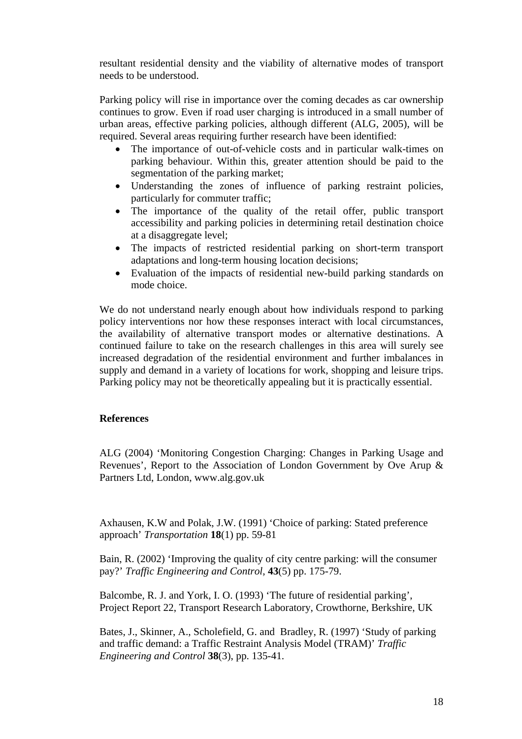resultant residential density and the viability of alternative modes of transport needs to be understood.

Parking policy will rise in importance over the coming decades as car ownership continues to grow. Even if road user charging is introduced in a small number of urban areas, effective parking policies, although different (ALG, 2005), will be required. Several areas requiring further research have been identified:

- The importance of out-of-vehicle costs and in particular walk-times on parking behaviour. Within this, greater attention should be paid to the segmentation of the parking market;
- Understanding the zones of influence of parking restraint policies, particularly for commuter traffic;
- The importance of the quality of the retail offer, public transport accessibility and parking policies in determining retail destination choice at a disaggregate level;
- The impacts of restricted residential parking on short-term transport adaptations and long-term housing location decisions;
- Evaluation of the impacts of residential new-build parking standards on mode choice.

We do not understand nearly enough about how individuals respond to parking policy interventions nor how these responses interact with local circumstances, the availability of alternative transport modes or alternative destinations. A continued failure to take on the research challenges in this area will surely see increased degradation of the residential environment and further imbalances in supply and demand in a variety of locations for work, shopping and leisure trips. Parking policy may not be theoretically appealing but it is practically essential.

#### **References**

ALG (2004) 'Monitoring Congestion Charging: Changes in Parking Usage and Revenues', Report to the Association of London Government by Ove Arup & Partners Ltd, London, www.alg.gov.uk

Axhausen, K.W and Polak, J.W. (1991) 'Choice of parking: Stated preference approach' *Transportation* **18**(1) pp. 59-81

Bain, R. (2002) 'Improving the quality of city centre parking: will the consumer pay?' *Traffic Engineering and Control*, **43**(5) pp. 175-79.

Balcombe, R. J. and York, I. O. (1993) 'The future of residential parking', Project Report 22, Transport Research Laboratory, Crowthorne, Berkshire, UK

Bates, J., Skinner, A., Scholefield, G. and Bradley, R. (1997) 'Study of parking and traffic demand: a Traffic Restraint Analysis Model (TRAM)' *Traffic Engineering and Control* **38**(3), pp. 135-41.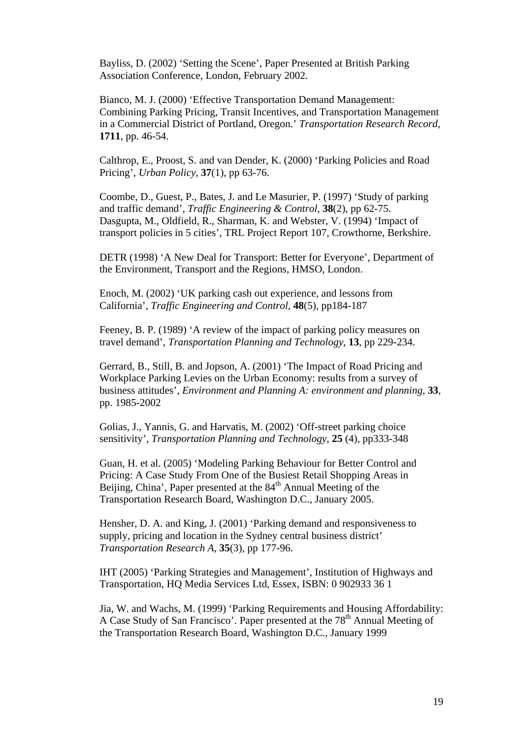Bayliss, D. (2002) 'Setting the Scene', Paper Presented at British Parking Association Conference, London, February 2002.

Bianco, M. J. (2000) 'Effective Transportation Demand Management: Combining Parking Pricing, Transit Incentives, and Transportation Management in a Commercial District of Portland, Oregon.' *Transportation Research Record*, **1711**, pp. 46-54.

Calthrop, E., Proost, S. and van Dender, K. (2000) 'Parking Policies and Road Pricing', *Urban Policy*, **37**(1), pp 63-76.

Coombe, D., Guest, P., Bates, J. and Le Masurier, P. (1997) 'Study of parking and traffic demand', *Traffic Engineering & Control*, **38**(2), pp 62-75. Dasgupta, M., Oldfield, R., Sharman, K. and Webster, V. (1994) 'Impact of transport policies in 5 cities', TRL Project Report 107, Crowthorne, Berkshire.

DETR (1998) 'A New Deal for Transport: Better for Everyone', Department of the Environment, Transport and the Regions, HMSO, London.

Enoch, M. (2002) 'UK parking cash out experience, and lessons from California', *Traffic Engineering and Control*, **48**(5), pp184-187

Feeney, B. P. (1989) 'A review of the impact of parking policy measures on travel demand', *Transportation Planning and Technology*, **13**, pp 229-234.

Gerrard, B., Still, B. and Jopson, A. (2001) 'The Impact of Road Pricing and Workplace Parking Levies on the Urban Economy: results from a survey of business attitudes', *Environment and Planning A: environment and planning*, **33**, pp. 1985-2002

Golias, J., Yannis, G. and Harvatis, M. (2002) 'Off-street parking choice sensitivity', *Transportation Planning and Technology*, **25** (4), pp333-348

Guan, H. et al. (2005) 'Modeling Parking Behaviour for Better Control and Pricing: A Case Study From One of the Busiest Retail Shopping Areas in Beijing, China', Paper presented at the 84<sup>th</sup> Annual Meeting of the Transportation Research Board, Washington D.C., January 2005.

Hensher, D. A. and King, J. (2001) 'Parking demand and responsiveness to supply, pricing and location in the Sydney central business district' *Transportation Research A*, **35**(3), pp 177-96.

IHT (2005) 'Parking Strategies and Management', Institution of Highways and Transportation, HQ Media Services Ltd, Essex, ISBN: 0 902933 36 1

Jia, W. and Wachs, M. (1999) 'Parking Requirements and Housing Affordability: A Case Study of San Francisco'. Paper presented at the 78<sup>th</sup> Annual Meeting of the Transportation Research Board, Washington D.C., January 1999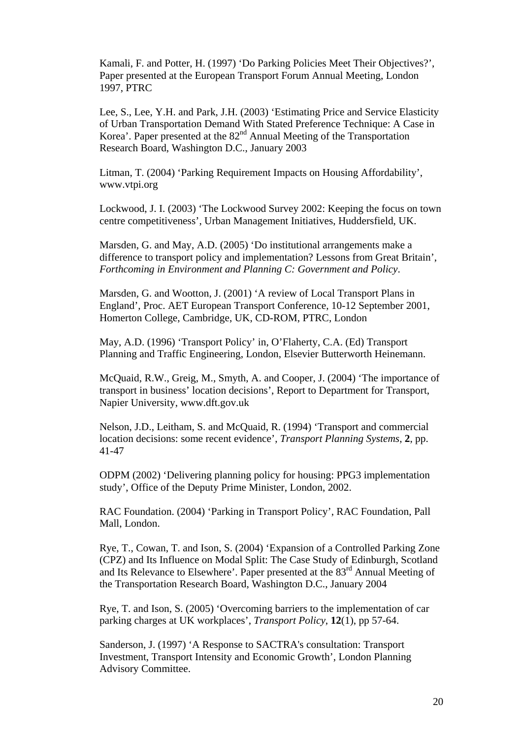Kamali, F. and Potter, H. (1997) 'Do Parking Policies Meet Their Objectives?', Paper presented at the European Transport Forum Annual Meeting, London 1997, PTRC

Lee, S., Lee, Y.H. and Park, J.H. (2003) 'Estimating Price and Service Elasticity of Urban Transportation Demand With Stated Preference Technique: A Case in Korea'. Paper presented at the  $82<sup>nd</sup>$  Annual Meeting of the Transportation Research Board, Washington D.C., January 2003

Litman, T. (2004) 'Parking Requirement Impacts on Housing Affordability', www.vtpi.org

Lockwood, J. I. (2003) 'The Lockwood Survey 2002: Keeping the focus on town centre competitiveness', Urban Management Initiatives, Huddersfield, UK.

Marsden, G. and May, A.D. (2005) 'Do institutional arrangements make a difference to transport policy and implementation? Lessons from Great Britain', *Forthcoming in Environment and Planning C: Government and Policy*.

Marsden, G. and Wootton, J. (2001) 'A review of Local Transport Plans in England', Proc. AET European Transport Conference, 10-12 September 2001, Homerton College, Cambridge, UK, CD-ROM, PTRC, London

May, A.D. (1996) 'Transport Policy' in, O'Flaherty, C.A. (Ed) Transport Planning and Traffic Engineering, London, Elsevier Butterworth Heinemann.

McQuaid, R.W., Greig, M., Smyth, A. and Cooper, J. (2004) 'The importance of transport in business' location decisions', Report to Department for Transport, Napier University, www.dft.gov.uk

Nelson, J.D., Leitham, S. and McQuaid, R. (1994) 'Transport and commercial location decisions: some recent evidence', *Transport Planning Systems*, **2**, pp. 41-47

ODPM (2002) 'Delivering planning policy for housing: PPG3 implementation study', Office of the Deputy Prime Minister, London, 2002.

RAC Foundation. (2004) 'Parking in Transport Policy', RAC Foundation, Pall Mall, London.

Rye, T., Cowan, T. and Ison, S. (2004) 'Expansion of a Controlled Parking Zone (CPZ) and Its Influence on Modal Split: The Case Study of Edinburgh, Scotland and Its Relevance to Elsewhere'. Paper presented at the 83rd Annual Meeting of the Transportation Research Board, Washington D.C., January 2004

Rye, T. and Ison, S. (2005) 'Overcoming barriers to the implementation of car parking charges at UK workplaces', *Transport Policy*, **12**(1), pp 57-64.

Sanderson, J. (1997) 'A Response to SACTRA's consultation: Transport Investment, Transport Intensity and Economic Growth', London Planning Advisory Committee.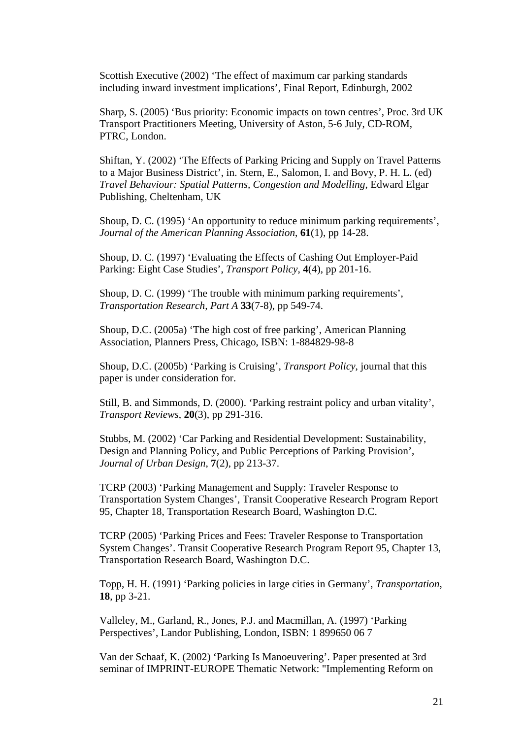Scottish Executive (2002) 'The effect of maximum car parking standards including inward investment implications', Final Report, Edinburgh, 2002

Sharp, S. (2005) 'Bus priority: Economic impacts on town centres', Proc. 3rd UK Transport Practitioners Meeting, University of Aston, 5-6 July, CD-ROM, PTRC, London.

Shiftan, Y. (2002) 'The Effects of Parking Pricing and Supply on Travel Patterns to a Major Business District', in. Stern, E., Salomon, I. and Bovy, P. H. L. (ed) *Travel Behaviour: Spatial Patterns, Congestion and Modelling*, Edward Elgar Publishing, Cheltenham, UK

Shoup, D. C. (1995) 'An opportunity to reduce minimum parking requirements', *Journal of the American Planning Association*, **61**(1), pp 14-28.

Shoup, D. C. (1997) 'Evaluating the Effects of Cashing Out Employer-Paid Parking: Eight Case Studies', *Transport Policy*, **4**(4), pp 201-16.

Shoup, D. C. (1999) 'The trouble with minimum parking requirements', *Transportation Research, Part A* **33**(7-8), pp 549-74.

Shoup, D.C. (2005a) 'The high cost of free parking', American Planning Association, Planners Press, Chicago, ISBN: 1-884829-98-8

Shoup, D.C. (2005b) 'Parking is Cruising', *Transport Policy*, journal that this paper is under consideration for.

Still, B. and Simmonds, D. (2000). 'Parking restraint policy and urban vitality', *Transport Reviews*, **20**(3), pp 291-316.

Stubbs, M. (2002) 'Car Parking and Residential Development: Sustainability, Design and Planning Policy, and Public Perceptions of Parking Provision', *Journal of Urban Design*, **7**(2), pp 213-37.

TCRP (2003) 'Parking Management and Supply: Traveler Response to Transportation System Changes', Transit Cooperative Research Program Report 95, Chapter 18, Transportation Research Board, Washington D.C.

TCRP (2005) 'Parking Prices and Fees: Traveler Response to Transportation System Changes'. Transit Cooperative Research Program Report 95, Chapter 13, Transportation Research Board, Washington D.C.

Topp, H. H. (1991) 'Parking policies in large cities in Germany', *Transportation*, **18**, pp 3-21.

Valleley, M., Garland, R., Jones, P.J. and Macmillan, A. (1997) 'Parking Perspectives', Landor Publishing, London, ISBN: 1 899650 06 7

Van der Schaaf, K. (2002) 'Parking Is Manoeuvering'. Paper presented at 3rd seminar of IMPRINT-EUROPE Thematic Network: "Implementing Reform on